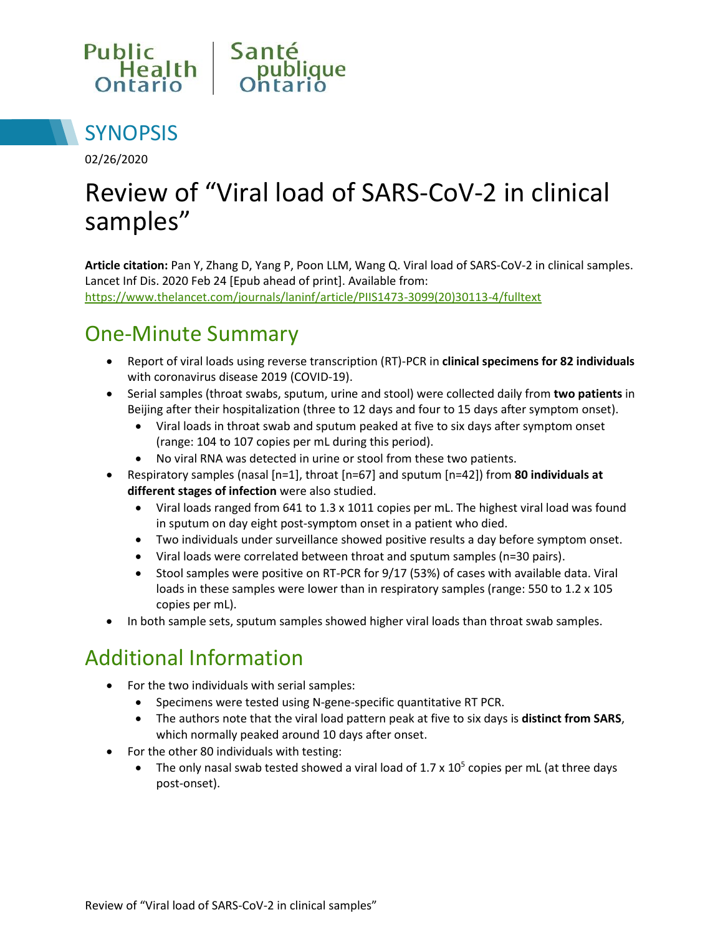



02/26/2020

# Review of "Viral load of SARS-CoV-2 in clinical samples"

**Article citation:** Pan Y, Zhang D, Yang P, Poon LLM, Wang Q. Viral load of SARS-CoV-2 in clinical samples. Lancet Inf Dis. 2020 Feb 24 [Epub ahead of print]. Available from: [https://www.thelancet.com/journals/laninf/article/PIIS1473-3099\(20\)30113-4/fulltext](https://www.thelancet.com/journals/laninf/article/PIIS1473-3099(20)30113-4/fulltext)

# One-Minute Summary

- Report of viral loads using reverse transcription (RT)-PCR in **clinical specimens for 82 individuals** with coronavirus disease 2019 (COVID-19).
- Serial samples (throat swabs, sputum, urine and stool) were collected daily from **two patients** in Beijing after their hospitalization (three to 12 days and four to 15 days after symptom onset).
	- Viral loads in throat swab and sputum peaked at five to six days after symptom onset (range: 104 to 107 copies per mL during this period).
	- No viral RNA was detected in urine or stool from these two patients.
- Respiratory samples (nasal [n=1], throat [n=67] and sputum [n=42]) from **80 individuals at different stages of infection** were also studied.
	- Viral loads ranged from 641 to 1.3 x 1011 copies per mL. The highest viral load was found in sputum on day eight post-symptom onset in a patient who died.
	- Two individuals under surveillance showed positive results a day before symptom onset.
	- Viral loads were correlated between throat and sputum samples (n=30 pairs).
	- Stool samples were positive on RT-PCR for 9/17 (53%) of cases with available data. Viral loads in these samples were lower than in respiratory samples (range: 550 to 1.2 x 105 copies per mL).
- In both sample sets, sputum samples showed higher viral loads than throat swab samples.

# Additional Information

- For the two individuals with serial samples:
	- Specimens were tested using N-gene-specific quantitative RT PCR.
	- The authors note that the viral load pattern peak at five to six days is **distinct from SARS**, which normally peaked around 10 days after onset.
- For the other 80 individuals with testing:
	- The only nasal swab tested showed a viral load of  $1.7 \times 10^5$  copies per mL (at three days post-onset).